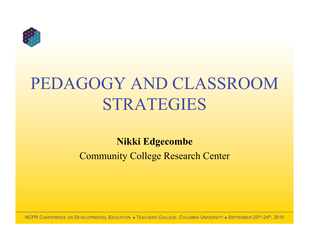

# PEDAGOGY AND CLASSROOM STRATEGIES

#### **Nikki Edgecombe**  Community College Research Center

NCPR CONFERENCE ON DEVELOPMENTAL EDUCATION . TEACHERS COLLEGE, COLUMBIA UNIVERSITY . SEPTEMBER 23rd–24th, 2010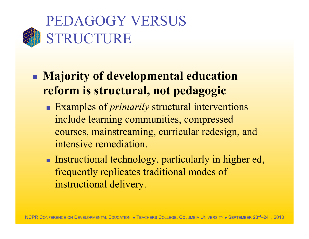

### **Majority of developmental education reform is structural, not pedagogic**

- Examples of *primarily* structural interventions include learning communities, compressed courses, mainstreaming, curricular redesign, and intensive remediation.
- **Instructional technology, particularly in higher ed,** frequently replicates traditional modes of instructional delivery.

NCPR CONFERENCE ON DEVELOPMENTAL EDUCATION . TEACHERS COLLEGE, COLUMBIA UNIVERSITY . SEPTEMBER 23rd–24th, 2010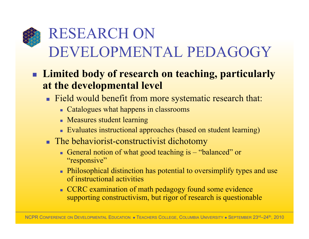## RESEARCH ON DEVELOPMENTAL PEDAGOGY

#### **Limited body of research on teaching, particularly at the developmental level**

- Field would benefit from more systematic research that:
	- Catalogues what happens in classrooms
	- **Measures student learning**
	- Evaluates instructional approaches (based on student learning)
- **The behaviorist-constructivist dichotomy** 
	- General notion of what good teaching is "balanced" or "responsive"
	- **Philosophical distinction has potential to oversimplify types and use** of instructional activities
	- CCRC examination of math pedagogy found some evidence supporting constructivism, but rigor of research is questionable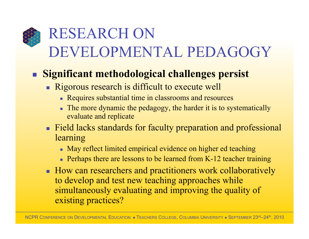## RESEARCH ON DEVELOPMENTAL PEDAGOGY

#### **Significant methodological challenges persist**

- Rigorous research is difficult to execute well
	- Requires substantial time in classrooms and resources
	- The more dynamic the pedagogy, the harder it is to systematically evaluate and replicate
- **Field lacks standards for faculty preparation and professional** learning
	- May reflect limited empirical evidence on higher ed teaching
	- **Perhaps there are lessons to be learned from K-12 teacher training**
- How can researchers and practitioners work collaboratively to develop and test new teaching approaches while simultaneously evaluating and improving the quality of existing practices?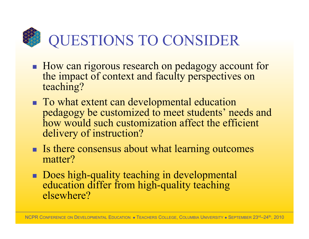QUESTIONS TO CONSIDER

- **How can rigorous research on pedagogy account for** the impact of context and faculty perspectives on teaching?
- To what extent can developmental education pedagogy be customized to meet students' needs and how would such customization affect the efficient delivery of instruction?
- Is there consensus about what learning outcomes matter?
- Does high-quality teaching in developmental education differ from high-quality teaching elsewhere?